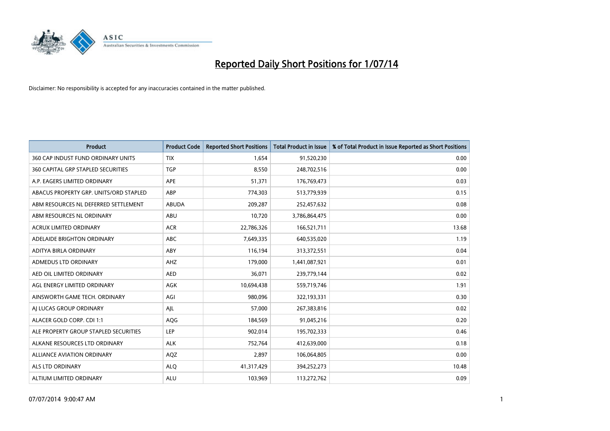

| <b>Product</b>                         | <b>Product Code</b> | <b>Reported Short Positions</b> | <b>Total Product in Issue</b> | % of Total Product in Issue Reported as Short Positions |
|----------------------------------------|---------------------|---------------------------------|-------------------------------|---------------------------------------------------------|
| 360 CAP INDUST FUND ORDINARY UNITS     | <b>TIX</b>          | 1,654                           | 91,520,230                    | 0.00                                                    |
| 360 CAPITAL GRP STAPLED SECURITIES     | <b>TGP</b>          | 8,550                           | 248,702,516                   | 0.00                                                    |
| A.P. EAGERS LIMITED ORDINARY           | APE                 | 51,371                          | 176,769,473                   | 0.03                                                    |
| ABACUS PROPERTY GRP. UNITS/ORD STAPLED | ABP                 | 774,303                         | 513,779,939                   | 0.15                                                    |
| ABM RESOURCES NL DEFERRED SETTLEMENT   | <b>ABUDA</b>        | 209,287                         | 252,457,632                   | 0.08                                                    |
| ABM RESOURCES NL ORDINARY              | ABU                 | 10,720                          | 3,786,864,475                 | 0.00                                                    |
| <b>ACRUX LIMITED ORDINARY</b>          | <b>ACR</b>          | 22,786,326                      | 166,521,711                   | 13.68                                                   |
| ADELAIDE BRIGHTON ORDINARY             | <b>ABC</b>          | 7,649,335                       | 640,535,020                   | 1.19                                                    |
| ADITYA BIRLA ORDINARY                  | ABY                 | 116,194                         | 313,372,551                   | 0.04                                                    |
| ADMEDUS LTD ORDINARY                   | AHZ                 | 179,000                         | 1,441,087,921                 | 0.01                                                    |
| AED OIL LIMITED ORDINARY               | <b>AED</b>          | 36,071                          | 239,779,144                   | 0.02                                                    |
| AGL ENERGY LIMITED ORDINARY            | AGK                 | 10,694,438                      | 559,719,746                   | 1.91                                                    |
| AINSWORTH GAME TECH. ORDINARY          | AGI                 | 980,096                         | 322,193,331                   | 0.30                                                    |
| AI LUCAS GROUP ORDINARY                | AJL                 | 57,000                          | 267,383,816                   | 0.02                                                    |
| ALACER GOLD CORP. CDI 1:1              | AQG                 | 184,569                         | 91,045,216                    | 0.20                                                    |
| ALE PROPERTY GROUP STAPLED SECURITIES  | LEP                 | 902,014                         | 195,702,333                   | 0.46                                                    |
| ALKANE RESOURCES LTD ORDINARY          | <b>ALK</b>          | 752,764                         | 412,639,000                   | 0.18                                                    |
| <b>ALLIANCE AVIATION ORDINARY</b>      | AQZ                 | 2,897                           | 106,064,805                   | 0.00                                                    |
| ALS LTD ORDINARY                       | <b>ALO</b>          | 41,317,429                      | 394,252,273                   | 10.48                                                   |
| ALTIUM LIMITED ORDINARY                | <b>ALU</b>          | 103,969                         | 113,272,762                   | 0.09                                                    |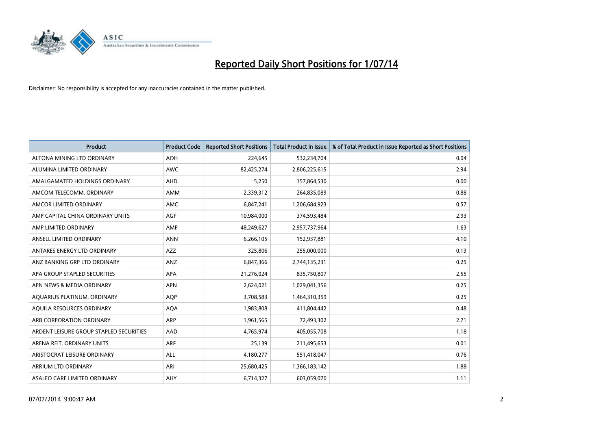

| <b>Product</b>                          | <b>Product Code</b> | <b>Reported Short Positions</b> | <b>Total Product in Issue</b> | % of Total Product in Issue Reported as Short Positions |
|-----------------------------------------|---------------------|---------------------------------|-------------------------------|---------------------------------------------------------|
| ALTONA MINING LTD ORDINARY              | <b>AOH</b>          | 224,645                         | 532,234,704                   | 0.04                                                    |
| ALUMINA LIMITED ORDINARY                | AWC                 | 82,425,274                      | 2,806,225,615                 | 2.94                                                    |
| AMALGAMATED HOLDINGS ORDINARY           | AHD                 | 5,250                           | 157,864,530                   | 0.00                                                    |
| AMCOM TELECOMM. ORDINARY                | AMM                 | 2,339,312                       | 264,835,089                   | 0.88                                                    |
| AMCOR LIMITED ORDINARY                  | AMC                 | 6,847,241                       | 1,206,684,923                 | 0.57                                                    |
| AMP CAPITAL CHINA ORDINARY UNITS        | <b>AGF</b>          | 10,984,000                      | 374,593,484                   | 2.93                                                    |
| AMP LIMITED ORDINARY                    | AMP                 | 48,249,627                      | 2,957,737,964                 | 1.63                                                    |
| ANSELL LIMITED ORDINARY                 | <b>ANN</b>          | 6,266,105                       | 152,937,881                   | 4.10                                                    |
| ANTARES ENERGY LTD ORDINARY             | <b>AZZ</b>          | 325,806                         | 255,000,000                   | 0.13                                                    |
| ANZ BANKING GRP LTD ORDINARY            | ANZ                 | 6,847,366                       | 2,744,135,231                 | 0.25                                                    |
| APA GROUP STAPLED SECURITIES            | APA                 | 21,276,024                      | 835,750,807                   | 2.55                                                    |
| APN NEWS & MEDIA ORDINARY               | <b>APN</b>          | 2,624,021                       | 1,029,041,356                 | 0.25                                                    |
| AQUARIUS PLATINUM. ORDINARY             | <b>AOP</b>          | 3,708,583                       | 1,464,310,359                 | 0.25                                                    |
| AQUILA RESOURCES ORDINARY               | <b>AQA</b>          | 1,983,808                       | 411,804,442                   | 0.48                                                    |
| ARB CORPORATION ORDINARY                | ARP                 | 1,961,565                       | 72,493,302                    | 2.71                                                    |
| ARDENT LEISURE GROUP STAPLED SECURITIES | AAD                 | 4,765,974                       | 405,055,708                   | 1.18                                                    |
| ARENA REIT. ORDINARY UNITS              | <b>ARF</b>          | 25,139                          | 211,495,653                   | 0.01                                                    |
| ARISTOCRAT LEISURE ORDINARY             | <b>ALL</b>          | 4,180,277                       | 551,418,047                   | 0.76                                                    |
| ARRIUM LTD ORDINARY                     | ARI                 | 25,680,425                      | 1,366,183,142                 | 1.88                                                    |
| ASALEO CARE LIMITED ORDINARY            | AHY                 | 6,714,327                       | 603,059,070                   | 1.11                                                    |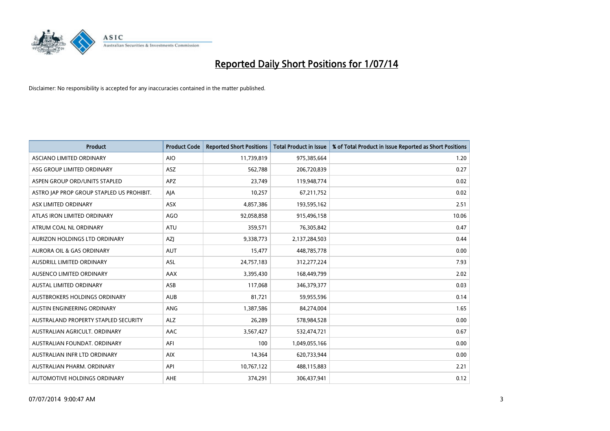

| <b>Product</b>                            | <b>Product Code</b> | <b>Reported Short Positions</b> | <b>Total Product in Issue</b> | % of Total Product in Issue Reported as Short Positions |
|-------------------------------------------|---------------------|---------------------------------|-------------------------------|---------------------------------------------------------|
| ASCIANO LIMITED ORDINARY                  | <b>AIO</b>          | 11,739,819                      | 975,385,664                   | 1.20                                                    |
| ASG GROUP LIMITED ORDINARY                | ASZ                 | 562,788                         | 206,720,839                   | 0.27                                                    |
| ASPEN GROUP ORD/UNITS STAPLED             | <b>APZ</b>          | 23,749                          | 119,948,774                   | 0.02                                                    |
| ASTRO JAP PROP GROUP STAPLED US PROHIBIT. | AJA                 | 10,257                          | 67,211,752                    | 0.02                                                    |
| ASX LIMITED ORDINARY                      | ASX                 | 4,857,386                       | 193,595,162                   | 2.51                                                    |
| ATLAS IRON LIMITED ORDINARY               | <b>AGO</b>          | 92,058,858                      | 915,496,158                   | 10.06                                                   |
| ATRUM COAL NL ORDINARY                    | ATU                 | 359,571                         | 76,305,842                    | 0.47                                                    |
| AURIZON HOLDINGS LTD ORDINARY             | AZJ                 | 9,338,773                       | 2,137,284,503                 | 0.44                                                    |
| <b>AURORA OIL &amp; GAS ORDINARY</b>      | <b>AUT</b>          | 15,477                          | 448,785,778                   | 0.00                                                    |
| AUSDRILL LIMITED ORDINARY                 | <b>ASL</b>          | 24,757,183                      | 312,277,224                   | 7.93                                                    |
| AUSENCO LIMITED ORDINARY                  | AAX                 | 3,395,430                       | 168,449,799                   | 2.02                                                    |
| <b>AUSTAL LIMITED ORDINARY</b>            | ASB                 | 117,068                         | 346,379,377                   | 0.03                                                    |
| AUSTBROKERS HOLDINGS ORDINARY             | <b>AUB</b>          | 81,721                          | 59,955,596                    | 0.14                                                    |
| AUSTIN ENGINEERING ORDINARY               | ANG                 | 1,387,586                       | 84,274,004                    | 1.65                                                    |
| AUSTRALAND PROPERTY STAPLED SECURITY      | <b>ALZ</b>          | 26,289                          | 578,984,528                   | 0.00                                                    |
| AUSTRALIAN AGRICULT. ORDINARY             | AAC                 | 3,567,427                       | 532,474,721                   | 0.67                                                    |
| AUSTRALIAN FOUNDAT. ORDINARY              | AFI                 | 100                             | 1,049,055,166                 | 0.00                                                    |
| AUSTRALIAN INFR LTD ORDINARY              | <b>AIX</b>          | 14,364                          | 620,733,944                   | 0.00                                                    |
| AUSTRALIAN PHARM. ORDINARY                | API                 | 10,767,122                      | 488,115,883                   | 2.21                                                    |
| AUTOMOTIVE HOLDINGS ORDINARY              | AHE                 | 374,291                         | 306,437,941                   | 0.12                                                    |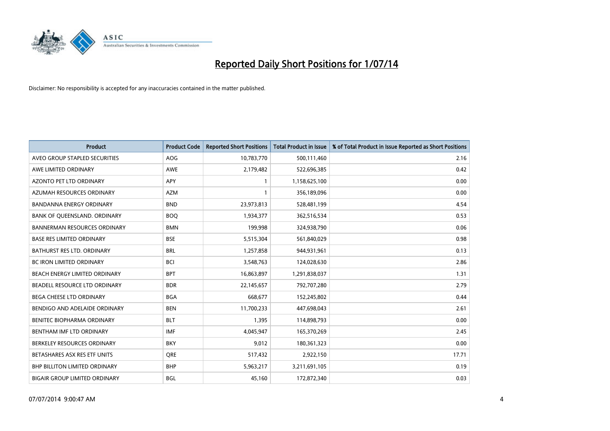

| <b>Product</b>                       | <b>Product Code</b> | <b>Reported Short Positions</b> | <b>Total Product in Issue</b> | % of Total Product in Issue Reported as Short Positions |
|--------------------------------------|---------------------|---------------------------------|-------------------------------|---------------------------------------------------------|
| AVEO GROUP STAPLED SECURITIES        | <b>AOG</b>          | 10,783,770                      | 500,111,460                   | 2.16                                                    |
| AWE LIMITED ORDINARY                 | <b>AWE</b>          | 2,179,482                       | 522,696,385                   | 0.42                                                    |
| <b>AZONTO PET LTD ORDINARY</b>       | <b>APY</b>          | 1                               | 1,158,625,100                 | 0.00                                                    |
| AZUMAH RESOURCES ORDINARY            | <b>AZM</b>          | 1                               | 356,189,096                   | 0.00                                                    |
| <b>BANDANNA ENERGY ORDINARY</b>      | <b>BND</b>          | 23,973,813                      | 528,481,199                   | 4.54                                                    |
| BANK OF QUEENSLAND. ORDINARY         | <b>BOQ</b>          | 1,934,377                       | 362,516,534                   | 0.53                                                    |
| <b>BANNERMAN RESOURCES ORDINARY</b>  | <b>BMN</b>          | 199.998                         | 324,938,790                   | 0.06                                                    |
| <b>BASE RES LIMITED ORDINARY</b>     | <b>BSE</b>          | 5,515,304                       | 561,840,029                   | 0.98                                                    |
| BATHURST RES LTD. ORDINARY           | <b>BRL</b>          | 1,257,858                       | 944,931,961                   | 0.13                                                    |
| <b>BC IRON LIMITED ORDINARY</b>      | <b>BCI</b>          | 3,548,763                       | 124,028,630                   | 2.86                                                    |
| BEACH ENERGY LIMITED ORDINARY        | <b>BPT</b>          | 16,863,897                      | 1,291,838,037                 | 1.31                                                    |
| BEADELL RESOURCE LTD ORDINARY        | <b>BDR</b>          | 22,145,657                      | 792,707,280                   | 2.79                                                    |
| <b>BEGA CHEESE LTD ORDINARY</b>      | <b>BGA</b>          | 668,677                         | 152,245,802                   | 0.44                                                    |
| BENDIGO AND ADELAIDE ORDINARY        | <b>BEN</b>          | 11,700,233                      | 447,698,043                   | 2.61                                                    |
| BENITEC BIOPHARMA ORDINARY           | <b>BLT</b>          | 1,395                           | 114,898,793                   | 0.00                                                    |
| BENTHAM IMF LTD ORDINARY             | <b>IMF</b>          | 4,045,947                       | 165,370,269                   | 2.45                                                    |
| BERKELEY RESOURCES ORDINARY          | <b>BKY</b>          | 9,012                           | 180,361,323                   | 0.00                                                    |
| BETASHARES ASX RES ETF UNITS         | <b>ORE</b>          | 517,432                         | 2,922,150                     | 17.71                                                   |
| BHP BILLITON LIMITED ORDINARY        | <b>BHP</b>          | 5,963,217                       | 3,211,691,105                 | 0.19                                                    |
| <b>BIGAIR GROUP LIMITED ORDINARY</b> | <b>BGL</b>          | 45.160                          | 172,872,340                   | 0.03                                                    |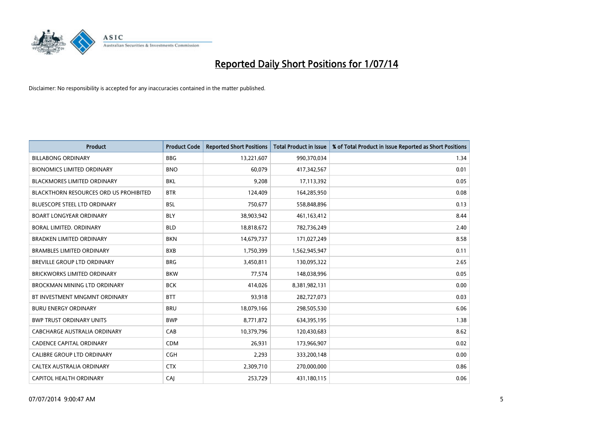

| <b>Product</b>                         | <b>Product Code</b> | <b>Reported Short Positions</b> | <b>Total Product in Issue</b> | % of Total Product in Issue Reported as Short Positions |
|----------------------------------------|---------------------|---------------------------------|-------------------------------|---------------------------------------------------------|
| <b>BILLABONG ORDINARY</b>              | <b>BBG</b>          | 13,221,607                      | 990,370,034                   | 1.34                                                    |
| <b>BIONOMICS LIMITED ORDINARY</b>      | <b>BNO</b>          | 60,079                          | 417,342,567                   | 0.01                                                    |
| <b>BLACKMORES LIMITED ORDINARY</b>     | <b>BKL</b>          | 9,208                           | 17,113,392                    | 0.05                                                    |
| BLACKTHORN RESOURCES ORD US PROHIBITED | <b>BTR</b>          | 124,409                         | 164,285,950                   | 0.08                                                    |
| <b>BLUESCOPE STEEL LTD ORDINARY</b>    | <b>BSL</b>          | 750,677                         | 558,848,896                   | 0.13                                                    |
| <b>BOART LONGYEAR ORDINARY</b>         | <b>BLY</b>          | 38,903,942                      | 461,163,412                   | 8.44                                                    |
| <b>BORAL LIMITED, ORDINARY</b>         | <b>BLD</b>          | 18,818,672                      | 782,736,249                   | 2.40                                                    |
| <b>BRADKEN LIMITED ORDINARY</b>        | <b>BKN</b>          | 14,679,737                      | 171,027,249                   | 8.58                                                    |
| <b>BRAMBLES LIMITED ORDINARY</b>       | <b>BXB</b>          | 1,750,399                       | 1,562,945,947                 | 0.11                                                    |
| <b>BREVILLE GROUP LTD ORDINARY</b>     | <b>BRG</b>          | 3,450,811                       | 130,095,322                   | 2.65                                                    |
| BRICKWORKS LIMITED ORDINARY            | <b>BKW</b>          | 77,574                          | 148,038,996                   | 0.05                                                    |
| BROCKMAN MINING LTD ORDINARY           | <b>BCK</b>          | 414,026                         | 8,381,982,131                 | 0.00                                                    |
| BT INVESTMENT MNGMNT ORDINARY          | <b>BTT</b>          | 93,918                          | 282,727,073                   | 0.03                                                    |
| <b>BURU ENERGY ORDINARY</b>            | <b>BRU</b>          | 18,079,166                      | 298,505,530                   | 6.06                                                    |
| <b>BWP TRUST ORDINARY UNITS</b>        | <b>BWP</b>          | 8,771,872                       | 634,395,195                   | 1.38                                                    |
| CABCHARGE AUSTRALIA ORDINARY           | CAB                 | 10,379,796                      | 120,430,683                   | 8.62                                                    |
| <b>CADENCE CAPITAL ORDINARY</b>        | <b>CDM</b>          | 26,931                          | 173,966,907                   | 0.02                                                    |
| CALIBRE GROUP LTD ORDINARY             | <b>CGH</b>          | 2,293                           | 333,200,148                   | 0.00                                                    |
| CALTEX AUSTRALIA ORDINARY              | <b>CTX</b>          | 2,309,710                       | 270,000,000                   | 0.86                                                    |
| CAPITOL HEALTH ORDINARY                | CAJ                 | 253,729                         | 431,180,115                   | 0.06                                                    |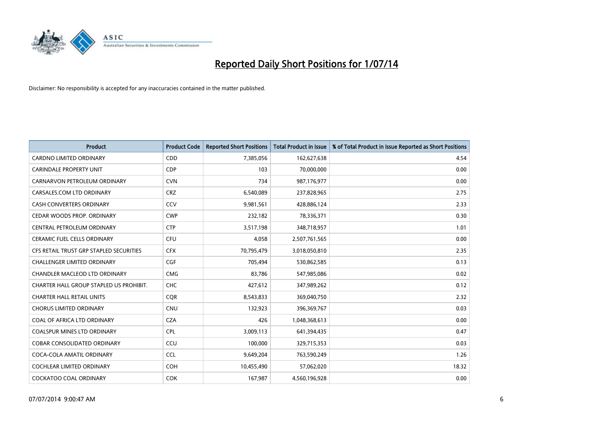

| <b>Product</b>                          | <b>Product Code</b> | <b>Reported Short Positions</b> | <b>Total Product in Issue</b> | % of Total Product in Issue Reported as Short Positions |
|-----------------------------------------|---------------------|---------------------------------|-------------------------------|---------------------------------------------------------|
| <b>CARDNO LIMITED ORDINARY</b>          | CDD                 | 7,385,056                       | 162,627,638                   | 4.54                                                    |
| <b>CARINDALE PROPERTY UNIT</b>          | <b>CDP</b>          | 103                             | 70,000,000                    | 0.00                                                    |
| CARNARVON PETROLEUM ORDINARY            | <b>CVN</b>          | 734                             | 987,176,977                   | 0.00                                                    |
| CARSALES.COM LTD ORDINARY               | <b>CRZ</b>          | 6,540,089                       | 237,828,965                   | 2.75                                                    |
| <b>CASH CONVERTERS ORDINARY</b>         | CCV                 | 9,981,561                       | 428,886,124                   | 2.33                                                    |
| CEDAR WOODS PROP. ORDINARY              | <b>CWP</b>          | 232,182                         | 78,336,371                    | 0.30                                                    |
| CENTRAL PETROLEUM ORDINARY              | <b>CTP</b>          | 3,517,198                       | 348,718,957                   | 1.01                                                    |
| CERAMIC FUEL CELLS ORDINARY             | <b>CFU</b>          | 4,058                           | 2,507,761,565                 | 0.00                                                    |
| CFS RETAIL TRUST GRP STAPLED SECURITIES | <b>CFX</b>          | 70,795,479                      | 3,018,050,810                 | 2.35                                                    |
| <b>CHALLENGER LIMITED ORDINARY</b>      | <b>CGF</b>          | 705,494                         | 530,862,585                   | 0.13                                                    |
| CHANDLER MACLEOD LTD ORDINARY           | <b>CMG</b>          | 83,786                          | 547,985,086                   | 0.02                                                    |
| CHARTER HALL GROUP STAPLED US PROHIBIT. | <b>CHC</b>          | 427,612                         | 347,989,262                   | 0.12                                                    |
| <b>CHARTER HALL RETAIL UNITS</b>        | <b>COR</b>          | 8,543,833                       | 369,040,750                   | 2.32                                                    |
| <b>CHORUS LIMITED ORDINARY</b>          | CNU                 | 132,923                         | 396,369,767                   | 0.03                                                    |
| COAL OF AFRICA LTD ORDINARY             | <b>CZA</b>          | 426                             | 1,048,368,613                 | 0.00                                                    |
| COALSPUR MINES LTD ORDINARY             | <b>CPL</b>          | 3,009,113                       | 641,394,435                   | 0.47                                                    |
| COBAR CONSOLIDATED ORDINARY             | CCU                 | 100,000                         | 329,715,353                   | 0.03                                                    |
| COCA-COLA AMATIL ORDINARY               | <b>CCL</b>          | 9,649,204                       | 763,590,249                   | 1.26                                                    |
| <b>COCHLEAR LIMITED ORDINARY</b>        | <b>COH</b>          | 10,455,490                      | 57,062,020                    | 18.32                                                   |
| <b>COCKATOO COAL ORDINARY</b>           | <b>COK</b>          | 167,987                         | 4,560,196,928                 | 0.00                                                    |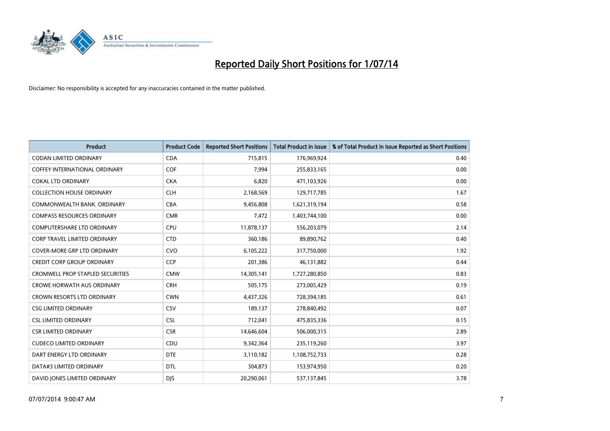

| <b>Product</b>                          | <b>Product Code</b> | <b>Reported Short Positions</b> | <b>Total Product in Issue</b> | % of Total Product in Issue Reported as Short Positions |
|-----------------------------------------|---------------------|---------------------------------|-------------------------------|---------------------------------------------------------|
| <b>CODAN LIMITED ORDINARY</b>           | <b>CDA</b>          | 715,815                         | 176,969,924                   | 0.40                                                    |
| COFFEY INTERNATIONAL ORDINARY           | <b>COF</b>          | 7,994                           | 255,833,165                   | 0.00                                                    |
| <b>COKAL LTD ORDINARY</b>               | <b>CKA</b>          | 6,820                           | 471,103,926                   | 0.00                                                    |
| <b>COLLECTION HOUSE ORDINARY</b>        | <b>CLH</b>          | 2,168,569                       | 129,717,785                   | 1.67                                                    |
| COMMONWEALTH BANK, ORDINARY             | <b>CBA</b>          | 9,456,808                       | 1,621,319,194                 | 0.58                                                    |
| <b>COMPASS RESOURCES ORDINARY</b>       | <b>CMR</b>          | 7,472                           | 1,403,744,100                 | 0.00                                                    |
| <b>COMPUTERSHARE LTD ORDINARY</b>       | <b>CPU</b>          | 11,878,137                      | 556,203,079                   | 2.14                                                    |
| <b>CORP TRAVEL LIMITED ORDINARY</b>     | <b>CTD</b>          | 360,186                         | 89,890,762                    | 0.40                                                    |
| <b>COVER-MORE GRP LTD ORDINARY</b>      | <b>CVO</b>          | 6,105,222                       | 317,750,000                   | 1.92                                                    |
| CREDIT CORP GROUP ORDINARY              | <b>CCP</b>          | 201,386                         | 46,131,882                    | 0.44                                                    |
| <b>CROMWELL PROP STAPLED SECURITIES</b> | <b>CMW</b>          | 14,305,141                      | 1,727,280,850                 | 0.83                                                    |
| <b>CROWE HORWATH AUS ORDINARY</b>       | <b>CRH</b>          | 505,175                         | 273,005,429                   | 0.19                                                    |
| <b>CROWN RESORTS LTD ORDINARY</b>       | <b>CWN</b>          | 4,437,326                       | 728,394,185                   | 0.61                                                    |
| <b>CSG LIMITED ORDINARY</b>             | CSV                 | 189,137                         | 278,840,492                   | 0.07                                                    |
| <b>CSL LIMITED ORDINARY</b>             | <b>CSL</b>          | 712,041                         | 475,835,336                   | 0.15                                                    |
| <b>CSR LIMITED ORDINARY</b>             | <b>CSR</b>          | 14,646,604                      | 506,000,315                   | 2.89                                                    |
| <b>CUDECO LIMITED ORDINARY</b>          | CDU                 | 9,342,364                       | 235,119,260                   | 3.97                                                    |
| DART ENERGY LTD ORDINARY                | <b>DTE</b>          | 3,110,182                       | 1,108,752,733                 | 0.28                                                    |
| DATA#3 LIMITED ORDINARY                 | <b>DTL</b>          | 304,873                         | 153,974,950                   | 0.20                                                    |
| DAVID JONES LIMITED ORDINARY            | <b>DJS</b>          | 20,290,061                      | 537,137,845                   | 3.78                                                    |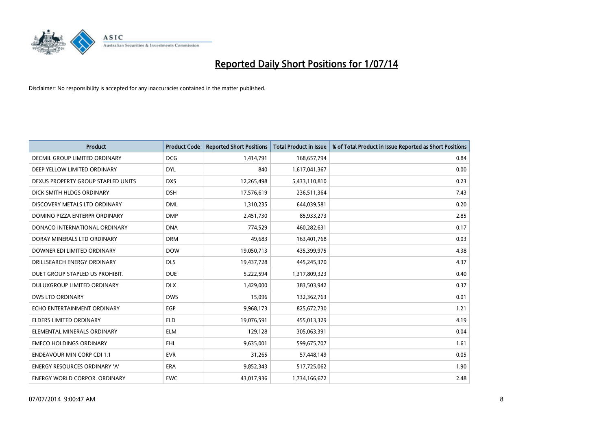

| <b>Product</b>                       | <b>Product Code</b> | <b>Reported Short Positions</b> | <b>Total Product in Issue</b> | % of Total Product in Issue Reported as Short Positions |
|--------------------------------------|---------------------|---------------------------------|-------------------------------|---------------------------------------------------------|
| DECMIL GROUP LIMITED ORDINARY        | <b>DCG</b>          | 1,414,791                       | 168,657,794                   | 0.84                                                    |
| DEEP YELLOW LIMITED ORDINARY         | <b>DYL</b>          | 840                             | 1,617,041,367                 | 0.00                                                    |
| DEXUS PROPERTY GROUP STAPLED UNITS   | <b>DXS</b>          | 12,265,498                      | 5,433,110,810                 | 0.23                                                    |
| DICK SMITH HLDGS ORDINARY            | <b>DSH</b>          | 17,576,619                      | 236,511,364                   | 7.43                                                    |
| DISCOVERY METALS LTD ORDINARY        | <b>DML</b>          | 1,310,235                       | 644,039,581                   | 0.20                                                    |
| DOMINO PIZZA ENTERPR ORDINARY        | <b>DMP</b>          | 2,451,730                       | 85,933,273                    | 2.85                                                    |
| DONACO INTERNATIONAL ORDINARY        | <b>DNA</b>          | 774,529                         | 460,282,631                   | 0.17                                                    |
| DORAY MINERALS LTD ORDINARY          | <b>DRM</b>          | 49,683                          | 163,401,768                   | 0.03                                                    |
| DOWNER EDI LIMITED ORDINARY          | <b>DOW</b>          | 19,050,713                      | 435,399,975                   | 4.38                                                    |
| DRILLSEARCH ENERGY ORDINARY          | <b>DLS</b>          | 19,437,728                      | 445,245,370                   | 4.37                                                    |
| DUET GROUP STAPLED US PROHIBIT.      | <b>DUE</b>          | 5,222,594                       | 1,317,809,323                 | 0.40                                                    |
| DULUXGROUP LIMITED ORDINARY          | <b>DLX</b>          | 1,429,000                       | 383,503,942                   | 0.37                                                    |
| <b>DWS LTD ORDINARY</b>              | <b>DWS</b>          | 15,096                          | 132,362,763                   | 0.01                                                    |
| ECHO ENTERTAINMENT ORDINARY          | <b>EGP</b>          | 9,968,173                       | 825,672,730                   | 1.21                                                    |
| <b>ELDERS LIMITED ORDINARY</b>       | <b>ELD</b>          | 19,076,591                      | 455,013,329                   | 4.19                                                    |
| ELEMENTAL MINERALS ORDINARY          | <b>ELM</b>          | 129,128                         | 305,063,391                   | 0.04                                                    |
| <b>EMECO HOLDINGS ORDINARY</b>       | EHL                 | 9,635,001                       | 599,675,707                   | 1.61                                                    |
| <b>ENDEAVOUR MIN CORP CDI 1:1</b>    | <b>EVR</b>          | 31,265                          | 57,448,149                    | 0.05                                                    |
| <b>ENERGY RESOURCES ORDINARY 'A'</b> | <b>ERA</b>          | 9,852,343                       | 517,725,062                   | 1.90                                                    |
| <b>ENERGY WORLD CORPOR. ORDINARY</b> | EWC                 | 43,017,936                      | 1,734,166,672                 | 2.48                                                    |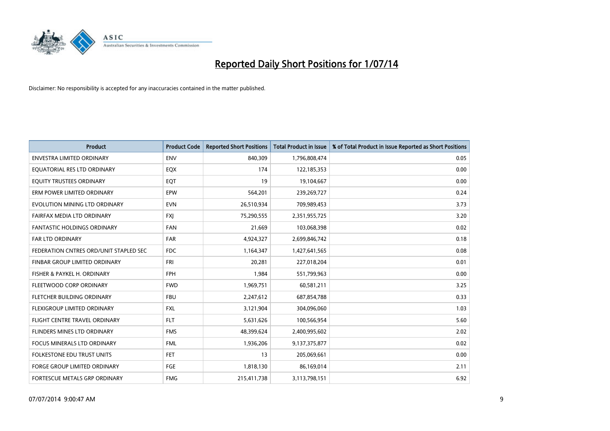

| <b>Product</b>                         | <b>Product Code</b> | <b>Reported Short Positions</b> | <b>Total Product in Issue</b> | % of Total Product in Issue Reported as Short Positions |
|----------------------------------------|---------------------|---------------------------------|-------------------------------|---------------------------------------------------------|
| <b>ENVESTRA LIMITED ORDINARY</b>       | <b>ENV</b>          | 840,309                         | 1,796,808,474                 | 0.05                                                    |
| EQUATORIAL RES LTD ORDINARY            | EQX                 | 174                             | 122,185,353                   | 0.00                                                    |
| EQUITY TRUSTEES ORDINARY               | EQT                 | 19                              | 19,104,667                    | 0.00                                                    |
| ERM POWER LIMITED ORDINARY             | <b>EPW</b>          | 564,201                         | 239,269,727                   | 0.24                                                    |
| EVOLUTION MINING LTD ORDINARY          | <b>EVN</b>          | 26,510,934                      | 709,989,453                   | 3.73                                                    |
| FAIRFAX MEDIA LTD ORDINARY             | <b>FXI</b>          | 75,290,555                      | 2,351,955,725                 | 3.20                                                    |
| <b>FANTASTIC HOLDINGS ORDINARY</b>     | <b>FAN</b>          | 21,669                          | 103,068,398                   | 0.02                                                    |
| FAR LTD ORDINARY                       | <b>FAR</b>          | 4,924,327                       | 2,699,846,742                 | 0.18                                                    |
| FEDERATION CNTRES ORD/UNIT STAPLED SEC | <b>FDC</b>          | 1,164,347                       | 1,427,641,565                 | 0.08                                                    |
| FINBAR GROUP LIMITED ORDINARY          | <b>FRI</b>          | 20,281                          | 227,018,204                   | 0.01                                                    |
| FISHER & PAYKEL H. ORDINARY            | <b>FPH</b>          | 1,984                           | 551,799,963                   | 0.00                                                    |
| FLEETWOOD CORP ORDINARY                | <b>FWD</b>          | 1,969,751                       | 60,581,211                    | 3.25                                                    |
| FLETCHER BUILDING ORDINARY             | <b>FBU</b>          | 2,247,612                       | 687,854,788                   | 0.33                                                    |
| FLEXIGROUP LIMITED ORDINARY            | <b>FXL</b>          | 3,121,904                       | 304,096,060                   | 1.03                                                    |
| FLIGHT CENTRE TRAVEL ORDINARY          | <b>FLT</b>          | 5,631,626                       | 100,566,954                   | 5.60                                                    |
| FLINDERS MINES LTD ORDINARY            | <b>FMS</b>          | 48,399,624                      | 2,400,995,602                 | 2.02                                                    |
| FOCUS MINERALS LTD ORDINARY            | <b>FML</b>          | 1,936,206                       | 9,137,375,877                 | 0.02                                                    |
| FOLKESTONE EDU TRUST UNITS             | <b>FET</b>          | 13                              | 205,069,661                   | 0.00                                                    |
| <b>FORGE GROUP LIMITED ORDINARY</b>    | FGE                 | 1,818,130                       | 86,169,014                    | 2.11                                                    |
| FORTESCUE METALS GRP ORDINARY          | <b>FMG</b>          | 215,411,738                     | 3,113,798,151                 | 6.92                                                    |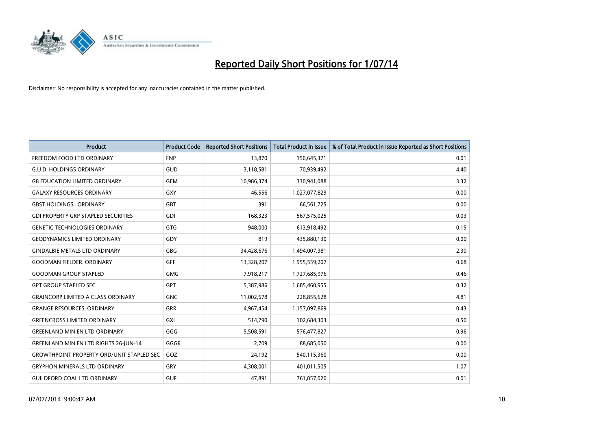

| <b>Product</b>                                   | <b>Product Code</b> | <b>Reported Short Positions</b> | <b>Total Product in Issue</b> | % of Total Product in Issue Reported as Short Positions |
|--------------------------------------------------|---------------------|---------------------------------|-------------------------------|---------------------------------------------------------|
| FREEDOM FOOD LTD ORDINARY                        | <b>FNP</b>          | 13,870                          | 150,645,371                   | 0.01                                                    |
| <b>G.U.D. HOLDINGS ORDINARY</b>                  | GUD                 | 3,118,581                       | 70,939,492                    | 4.40                                                    |
| <b>G8 EDUCATION LIMITED ORDINARY</b>             | <b>GEM</b>          | 10,986,374                      | 330,941,088                   | 3.32                                                    |
| <b>GALAXY RESOURCES ORDINARY</b>                 | GXY                 | 46,556                          | 1,027,077,829                 | 0.00                                                    |
| <b>GBST HOLDINGS., ORDINARY</b>                  | GBT                 | 391                             | 66,561,725                    | 0.00                                                    |
| <b>GDI PROPERTY GRP STAPLED SECURITIES</b>       | GDI                 | 168,323                         | 567,575,025                   | 0.03                                                    |
| <b>GENETIC TECHNOLOGIES ORDINARY</b>             | GTG                 | 948,000                         | 613,918,492                   | 0.15                                                    |
| <b>GEODYNAMICS LIMITED ORDINARY</b>              | GDY                 | 819                             | 435,880,130                   | 0.00                                                    |
| <b>GINDALBIE METALS LTD ORDINARY</b>             | GBG                 | 34,428,676                      | 1,494,007,381                 | 2.30                                                    |
| <b>GOODMAN FIELDER, ORDINARY</b>                 | GFF                 | 13,328,207                      | 1,955,559,207                 | 0.68                                                    |
| <b>GOODMAN GROUP STAPLED</b>                     | <b>GMG</b>          | 7,918,217                       | 1,727,685,976                 | 0.46                                                    |
| <b>GPT GROUP STAPLED SEC.</b>                    | <b>GPT</b>          | 5,387,986                       | 1,685,460,955                 | 0.32                                                    |
| <b>GRAINCORP LIMITED A CLASS ORDINARY</b>        | <b>GNC</b>          | 11,002,678                      | 228,855,628                   | 4.81                                                    |
| <b>GRANGE RESOURCES. ORDINARY</b>                | GRR                 | 4,967,454                       | 1,157,097,869                 | 0.43                                                    |
| <b>GREENCROSS LIMITED ORDINARY</b>               | GXL                 | 514,790                         | 102,684,303                   | 0.50                                                    |
| <b>GREENLAND MIN EN LTD ORDINARY</b>             | GGG                 | 5,508,591                       | 576,477,827                   | 0.96                                                    |
| GREENLAND MIN EN LTD RIGHTS 26-JUN-14            | GGGR                | 2,709                           | 88,685,050                    | 0.00                                                    |
| <b>GROWTHPOINT PROPERTY ORD/UNIT STAPLED SEC</b> | GOZ                 | 24,192                          | 540,115,360                   | 0.00                                                    |
| <b>GRYPHON MINERALS LTD ORDINARY</b>             | GRY                 | 4,308,001                       | 401,011,505                   | 1.07                                                    |
| GUILDFORD COAL LTD ORDINARY                      | <b>GUF</b>          | 47,891                          | 761,857,020                   | 0.01                                                    |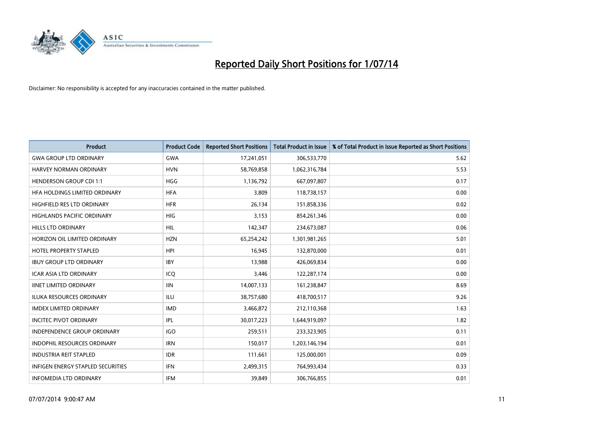

| Product                                  | <b>Product Code</b> | <b>Reported Short Positions</b> | <b>Total Product in Issue</b> | % of Total Product in Issue Reported as Short Positions |
|------------------------------------------|---------------------|---------------------------------|-------------------------------|---------------------------------------------------------|
| <b>GWA GROUP LTD ORDINARY</b>            | <b>GWA</b>          | 17,241,051                      | 306,533,770                   | 5.62                                                    |
| HARVEY NORMAN ORDINARY                   | <b>HVN</b>          | 58,769,858                      | 1,062,316,784                 | 5.53                                                    |
| <b>HENDERSON GROUP CDI 1:1</b>           | <b>HGG</b>          | 1,136,792                       | 667,097,807                   | 0.17                                                    |
| HFA HOLDINGS LIMITED ORDINARY            | <b>HFA</b>          | 3,809                           | 118,738,157                   | 0.00                                                    |
| HIGHFIELD RES LTD ORDINARY               | <b>HFR</b>          | 26,134                          | 151,858,336                   | 0.02                                                    |
| <b>HIGHLANDS PACIFIC ORDINARY</b>        | <b>HIG</b>          | 3,153                           | 854,261,346                   | 0.00                                                    |
| <b>HILLS LTD ORDINARY</b>                | HIL                 | 142,347                         | 234,673,087                   | 0.06                                                    |
| HORIZON OIL LIMITED ORDINARY             | <b>HZN</b>          | 65,254,242                      | 1,301,981,265                 | 5.01                                                    |
| HOTEL PROPERTY STAPLED                   | <b>HPI</b>          | 16,945                          | 132,870,000                   | 0.01                                                    |
| <b>IBUY GROUP LTD ORDINARY</b>           | <b>IBY</b>          | 13,988                          | 426,069,834                   | 0.00                                                    |
| ICAR ASIA LTD ORDINARY                   | ICQ                 | 3,446                           | 122,287,174                   | 0.00                                                    |
| <b>IINET LIMITED ORDINARY</b>            | <b>IIN</b>          | 14,007,133                      | 161,238,847                   | 8.69                                                    |
| <b>ILUKA RESOURCES ORDINARY</b>          | ILU                 | 38,757,680                      | 418,700,517                   | 9.26                                                    |
| <b>IMDEX LIMITED ORDINARY</b>            | <b>IMD</b>          | 3,466,872                       | 212,110,368                   | 1.63                                                    |
| <b>INCITEC PIVOT ORDINARY</b>            | IPL                 | 30,017,223                      | 1,644,919,097                 | 1.82                                                    |
| <b>INDEPENDENCE GROUP ORDINARY</b>       | <b>IGO</b>          | 259,511                         | 233,323,905                   | 0.11                                                    |
| <b>INDOPHIL RESOURCES ORDINARY</b>       | <b>IRN</b>          | 150,017                         | 1,203,146,194                 | 0.01                                                    |
| <b>INDUSTRIA REIT STAPLED</b>            | <b>IDR</b>          | 111,661                         | 125,000,001                   | 0.09                                                    |
| <b>INFIGEN ENERGY STAPLED SECURITIES</b> | IFN                 | 2,499,315                       | 764,993,434                   | 0.33                                                    |
| <b>INFOMEDIA LTD ORDINARY</b>            | IFM                 | 39,849                          | 306,766,855                   | 0.01                                                    |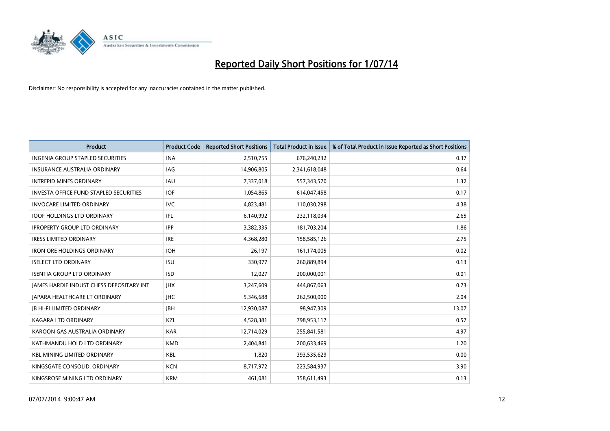

| <b>Product</b>                                | <b>Product Code</b> | <b>Reported Short Positions</b> | <b>Total Product in Issue</b> | % of Total Product in Issue Reported as Short Positions |
|-----------------------------------------------|---------------------|---------------------------------|-------------------------------|---------------------------------------------------------|
| <b>INGENIA GROUP STAPLED SECURITIES</b>       | <b>INA</b>          | 2,510,755                       | 676,240,232                   | 0.37                                                    |
| INSURANCE AUSTRALIA ORDINARY                  | IAG                 | 14,906,805                      | 2,341,618,048                 | 0.64                                                    |
| <b>INTREPID MINES ORDINARY</b>                | IAU                 | 7,337,018                       | 557,343,570                   | 1.32                                                    |
| <b>INVESTA OFFICE FUND STAPLED SECURITIES</b> | <b>IOF</b>          | 1,054,865                       | 614,047,458                   | 0.17                                                    |
| <b>INVOCARE LIMITED ORDINARY</b>              | <b>IVC</b>          | 4,823,481                       | 110,030,298                   | 4.38                                                    |
| <b>IOOF HOLDINGS LTD ORDINARY</b>             | IFL                 | 6,140,992                       | 232,118,034                   | 2.65                                                    |
| <b>IPROPERTY GROUP LTD ORDINARY</b>           | <b>IPP</b>          | 3,382,335                       | 181,703,204                   | 1.86                                                    |
| <b>IRESS LIMITED ORDINARY</b>                 | <b>IRE</b>          | 4,368,280                       | 158,585,126                   | 2.75                                                    |
| <b>IRON ORE HOLDINGS ORDINARY</b>             | <b>IOH</b>          | 26,197                          | 161,174,005                   | 0.02                                                    |
| <b>ISELECT LTD ORDINARY</b>                   | <b>ISU</b>          | 330,977                         | 260,889,894                   | 0.13                                                    |
| <b>ISENTIA GROUP LTD ORDINARY</b>             | <b>ISD</b>          | 12,027                          | 200,000,001                   | 0.01                                                    |
| JAMES HARDIE INDUST CHESS DEPOSITARY INT      | <b>IHX</b>          | 3,247,609                       | 444,867,063                   | 0.73                                                    |
| <b>JAPARA HEALTHCARE LT ORDINARY</b>          | <b>IHC</b>          | 5,346,688                       | 262,500,000                   | 2.04                                                    |
| <b>IB HI-FI LIMITED ORDINARY</b>              | <b>JBH</b>          | 12,930,087                      | 98,947,309                    | 13.07                                                   |
| <b>KAGARA LTD ORDINARY</b>                    | KZL                 | 4,528,381                       | 798,953,117                   | 0.57                                                    |
| KAROON GAS AUSTRALIA ORDINARY                 | <b>KAR</b>          | 12,714,029                      | 255,841,581                   | 4.97                                                    |
| KATHMANDU HOLD LTD ORDINARY                   | <b>KMD</b>          | 2,404,841                       | 200,633,469                   | 1.20                                                    |
| <b>KBL MINING LIMITED ORDINARY</b>            | <b>KBL</b>          | 1,820                           | 393,535,629                   | 0.00                                                    |
| KINGSGATE CONSOLID. ORDINARY                  | <b>KCN</b>          | 8,717,972                       | 223,584,937                   | 3.90                                                    |
| KINGSROSE MINING LTD ORDINARY                 | <b>KRM</b>          | 461,081                         | 358,611,493                   | 0.13                                                    |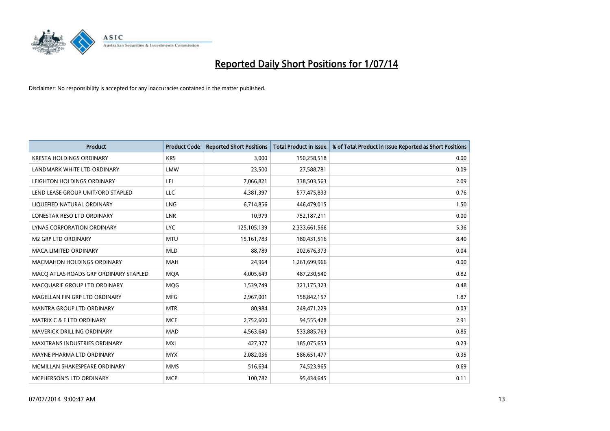

| <b>Product</b>                        | <b>Product Code</b> | <b>Reported Short Positions</b> | <b>Total Product in Issue</b> | % of Total Product in Issue Reported as Short Positions |
|---------------------------------------|---------------------|---------------------------------|-------------------------------|---------------------------------------------------------|
| <b>KRESTA HOLDINGS ORDINARY</b>       | <b>KRS</b>          | 3,000                           | 150,258,518                   | 0.00                                                    |
| LANDMARK WHITE LTD ORDINARY           | <b>LMW</b>          | 23,500                          | 27,588,781                    | 0.09                                                    |
| LEIGHTON HOLDINGS ORDINARY            | LEI                 | 7,066,821                       | 338,503,563                   | 2.09                                                    |
| LEND LEASE GROUP UNIT/ORD STAPLED     | <b>LLC</b>          | 4,381,397                       | 577,475,833                   | 0.76                                                    |
| LIQUEFIED NATURAL ORDINARY            | LNG                 | 6,714,856                       | 446,479,015                   | 1.50                                                    |
| LONESTAR RESO LTD ORDINARY            | <b>LNR</b>          | 10,979                          | 752,187,211                   | 0.00                                                    |
| LYNAS CORPORATION ORDINARY            | <b>LYC</b>          | 125,105,139                     | 2,333,661,566                 | 5.36                                                    |
| <b>M2 GRP LTD ORDINARY</b>            | <b>MTU</b>          | 15, 161, 783                    | 180,431,516                   | 8.40                                                    |
| <b>MACA LIMITED ORDINARY</b>          | <b>MLD</b>          | 88.789                          | 202,676,373                   | 0.04                                                    |
| <b>MACMAHON HOLDINGS ORDINARY</b>     | <b>MAH</b>          | 24,964                          | 1,261,699,966                 | 0.00                                                    |
| MACO ATLAS ROADS GRP ORDINARY STAPLED | <b>MOA</b>          | 4,005,649                       | 487,230,540                   | 0.82                                                    |
| MACQUARIE GROUP LTD ORDINARY          | <b>MQG</b>          | 1,539,749                       | 321,175,323                   | 0.48                                                    |
| MAGELLAN FIN GRP LTD ORDINARY         | <b>MFG</b>          | 2,967,001                       | 158,842,157                   | 1.87                                                    |
| <b>MANTRA GROUP LTD ORDINARY</b>      | <b>MTR</b>          | 80,984                          | 249,471,229                   | 0.03                                                    |
| <b>MATRIX C &amp; E LTD ORDINARY</b>  | <b>MCE</b>          | 2,752,600                       | 94,555,428                    | 2.91                                                    |
| MAVERICK DRILLING ORDINARY            | <b>MAD</b>          | 4,563,640                       | 533,885,763                   | 0.85                                                    |
| MAXITRANS INDUSTRIES ORDINARY         | <b>MXI</b>          | 427,377                         | 185,075,653                   | 0.23                                                    |
| MAYNE PHARMA LTD ORDINARY             | <b>MYX</b>          | 2,082,036                       | 586,651,477                   | 0.35                                                    |
| MCMILLAN SHAKESPEARE ORDINARY         | <b>MMS</b>          | 516,634                         | 74,523,965                    | 0.69                                                    |
| MCPHERSON'S LTD ORDINARY              | <b>MCP</b>          | 100,782                         | 95,434,645                    | 0.11                                                    |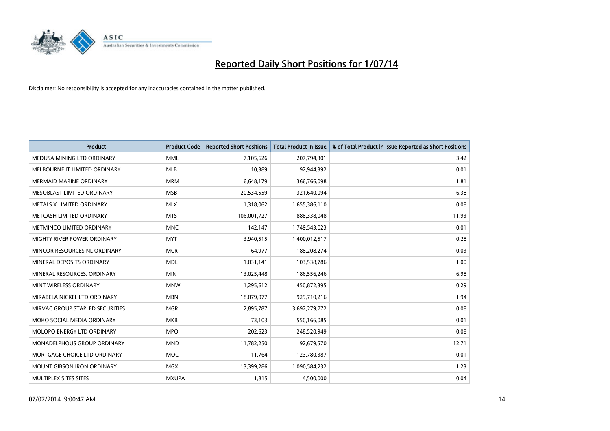

| <b>Product</b>                    | <b>Product Code</b> | <b>Reported Short Positions</b> | <b>Total Product in Issue</b> | % of Total Product in Issue Reported as Short Positions |
|-----------------------------------|---------------------|---------------------------------|-------------------------------|---------------------------------------------------------|
| MEDUSA MINING LTD ORDINARY        | <b>MML</b>          | 7,105,626                       | 207,794,301                   | 3.42                                                    |
| MELBOURNE IT LIMITED ORDINARY     | <b>MLB</b>          | 10,389                          | 92,944,392                    | 0.01                                                    |
| <b>MERMAID MARINE ORDINARY</b>    | <b>MRM</b>          | 6,648,179                       | 366,766,098                   | 1.81                                                    |
| MESOBLAST LIMITED ORDINARY        | <b>MSB</b>          | 20,534,559                      | 321,640,094                   | 6.38                                                    |
| METALS X LIMITED ORDINARY         | <b>MLX</b>          | 1,318,062                       | 1,655,386,110                 | 0.08                                                    |
| METCASH LIMITED ORDINARY          | <b>MTS</b>          | 106,001,727                     | 888,338,048                   | 11.93                                                   |
| METMINCO LIMITED ORDINARY         | <b>MNC</b>          | 142,147                         | 1,749,543,023                 | 0.01                                                    |
| MIGHTY RIVER POWER ORDINARY       | <b>MYT</b>          | 3,940,515                       | 1,400,012,517                 | 0.28                                                    |
| MINCOR RESOURCES NL ORDINARY      | <b>MCR</b>          | 64,977                          | 188,208,274                   | 0.03                                                    |
| MINERAL DEPOSITS ORDINARY         | <b>MDL</b>          | 1,031,141                       | 103,538,786                   | 1.00                                                    |
| MINERAL RESOURCES. ORDINARY       | <b>MIN</b>          | 13,025,448                      | 186,556,246                   | 6.98                                                    |
| MINT WIRELESS ORDINARY            | <b>MNW</b>          | 1,295,612                       | 450,872,395                   | 0.29                                                    |
| MIRABELA NICKEL LTD ORDINARY      | <b>MBN</b>          | 18,079,077                      | 929,710,216                   | 1.94                                                    |
| MIRVAC GROUP STAPLED SECURITIES   | <b>MGR</b>          | 2,895,787                       | 3,692,279,772                 | 0.08                                                    |
| MOKO SOCIAL MEDIA ORDINARY        | <b>MKB</b>          | 73,103                          | 550,166,085                   | 0.01                                                    |
| MOLOPO ENERGY LTD ORDINARY        | <b>MPO</b>          | 202,623                         | 248,520,949                   | 0.08                                                    |
| MONADELPHOUS GROUP ORDINARY       | <b>MND</b>          | 11,782,250                      | 92,679,570                    | 12.71                                                   |
| MORTGAGE CHOICE LTD ORDINARY      | <b>MOC</b>          | 11,764                          | 123,780,387                   | 0.01                                                    |
| <b>MOUNT GIBSON IRON ORDINARY</b> | <b>MGX</b>          | 13,399,286                      | 1,090,584,232                 | 1.23                                                    |
| MULTIPLEX SITES SITES             | <b>MXUPA</b>        | 1,815                           | 4,500,000                     | 0.04                                                    |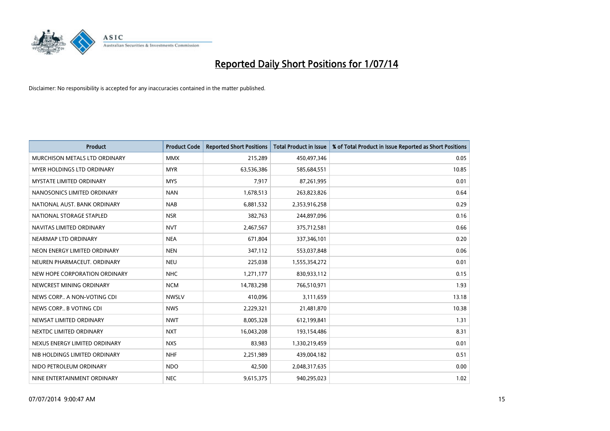

| <b>Product</b>                  | <b>Product Code</b> | <b>Reported Short Positions</b> | <b>Total Product in Issue</b> | % of Total Product in Issue Reported as Short Positions |
|---------------------------------|---------------------|---------------------------------|-------------------------------|---------------------------------------------------------|
| MURCHISON METALS LTD ORDINARY   | <b>MMX</b>          | 215,289                         | 450,497,346                   | 0.05                                                    |
| MYER HOLDINGS LTD ORDINARY      | <b>MYR</b>          | 63,536,386                      | 585,684,551                   | 10.85                                                   |
| <b>MYSTATE LIMITED ORDINARY</b> | <b>MYS</b>          | 7,917                           | 87,261,995                    | 0.01                                                    |
| NANOSONICS LIMITED ORDINARY     | <b>NAN</b>          | 1,678,513                       | 263,823,826                   | 0.64                                                    |
| NATIONAL AUST. BANK ORDINARY    | <b>NAB</b>          | 6,881,532                       | 2,353,916,258                 | 0.29                                                    |
| NATIONAL STORAGE STAPLED        | <b>NSR</b>          | 382,763                         | 244,897,096                   | 0.16                                                    |
| NAVITAS LIMITED ORDINARY        | <b>NVT</b>          | 2,467,567                       | 375,712,581                   | 0.66                                                    |
| NEARMAP LTD ORDINARY            | <b>NEA</b>          | 671,804                         | 337,346,101                   | 0.20                                                    |
| NEON ENERGY LIMITED ORDINARY    | <b>NEN</b>          | 347,112                         | 553,037,848                   | 0.06                                                    |
| NEUREN PHARMACEUT, ORDINARY     | <b>NEU</b>          | 225,038                         | 1,555,354,272                 | 0.01                                                    |
| NEW HOPE CORPORATION ORDINARY   | <b>NHC</b>          | 1,271,177                       | 830,933,112                   | 0.15                                                    |
| NEWCREST MINING ORDINARY        | <b>NCM</b>          | 14,783,298                      | 766,510,971                   | 1.93                                                    |
| NEWS CORP A NON-VOTING CDI      | <b>NWSLV</b>        | 410,096                         | 3,111,659                     | 13.18                                                   |
| NEWS CORP B VOTING CDI          | <b>NWS</b>          | 2,229,321                       | 21,481,870                    | 10.38                                                   |
| NEWSAT LIMITED ORDINARY         | <b>NWT</b>          | 8,005,328                       | 612,199,841                   | 1.31                                                    |
| NEXTDC LIMITED ORDINARY         | <b>NXT</b>          | 16,043,208                      | 193,154,486                   | 8.31                                                    |
| NEXUS ENERGY LIMITED ORDINARY   | <b>NXS</b>          | 83,983                          | 1,330,219,459                 | 0.01                                                    |
| NIB HOLDINGS LIMITED ORDINARY   | <b>NHF</b>          | 2,251,989                       | 439,004,182                   | 0.51                                                    |
| NIDO PETROLEUM ORDINARY         | <b>NDO</b>          | 42,500                          | 2,048,317,635                 | 0.00                                                    |
| NINE ENTERTAINMENT ORDINARY     | <b>NEC</b>          | 9,615,375                       | 940,295,023                   | 1.02                                                    |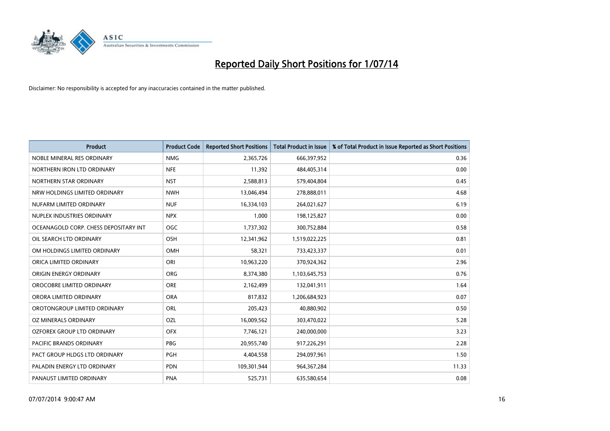

| <b>Product</b>                        | <b>Product Code</b> | <b>Reported Short Positions</b> | <b>Total Product in Issue</b> | % of Total Product in Issue Reported as Short Positions |
|---------------------------------------|---------------------|---------------------------------|-------------------------------|---------------------------------------------------------|
| NOBLE MINERAL RES ORDINARY            | <b>NMG</b>          | 2,365,726                       | 666,397,952                   | 0.36                                                    |
| NORTHERN IRON LTD ORDINARY            | <b>NFE</b>          | 11,392                          | 484,405,314                   | 0.00                                                    |
| NORTHERN STAR ORDINARY                | <b>NST</b>          | 2,588,813                       | 579,404,804                   | 0.45                                                    |
| NRW HOLDINGS LIMITED ORDINARY         | <b>NWH</b>          | 13,046,494                      | 278,888,011                   | 4.68                                                    |
| NUFARM LIMITED ORDINARY               | <b>NUF</b>          | 16,334,103                      | 264,021,627                   | 6.19                                                    |
| NUPLEX INDUSTRIES ORDINARY            | <b>NPX</b>          | 1,000                           | 198,125,827                   | 0.00                                                    |
| OCEANAGOLD CORP. CHESS DEPOSITARY INT | <b>OGC</b>          | 1,737,302                       | 300,752,884                   | 0.58                                                    |
| OIL SEARCH LTD ORDINARY               | OSH                 | 12,341,962                      | 1,519,022,225                 | 0.81                                                    |
| OM HOLDINGS LIMITED ORDINARY          | OMH                 | 58,321                          | 733,423,337                   | 0.01                                                    |
| ORICA LIMITED ORDINARY                | ORI                 | 10,963,220                      | 370,924,362                   | 2.96                                                    |
| ORIGIN ENERGY ORDINARY                | <b>ORG</b>          | 8,374,380                       | 1,103,645,753                 | 0.76                                                    |
| OROCOBRE LIMITED ORDINARY             | <b>ORE</b>          | 2,162,499                       | 132,041,911                   | 1.64                                                    |
| ORORA LIMITED ORDINARY                | <b>ORA</b>          | 817,832                         | 1,206,684,923                 | 0.07                                                    |
| OROTONGROUP LIMITED ORDINARY          | ORL                 | 205,423                         | 40,880,902                    | 0.50                                                    |
| OZ MINERALS ORDINARY                  | OZL                 | 16,009,562                      | 303,470,022                   | 5.28                                                    |
| <b>OZFOREX GROUP LTD ORDINARY</b>     | <b>OFX</b>          | 7,746,121                       | 240,000,000                   | 3.23                                                    |
| <b>PACIFIC BRANDS ORDINARY</b>        | PBG                 | 20,955,740                      | 917,226,291                   | 2.28                                                    |
| PACT GROUP HLDGS LTD ORDINARY         | <b>PGH</b>          | 4,404,558                       | 294,097,961                   | 1.50                                                    |
| PALADIN ENERGY LTD ORDINARY           | <b>PDN</b>          | 109,301,944                     | 964,367,284                   | 11.33                                                   |
| PANAUST LIMITED ORDINARY              | <b>PNA</b>          | 525,731                         | 635,580,654                   | 0.08                                                    |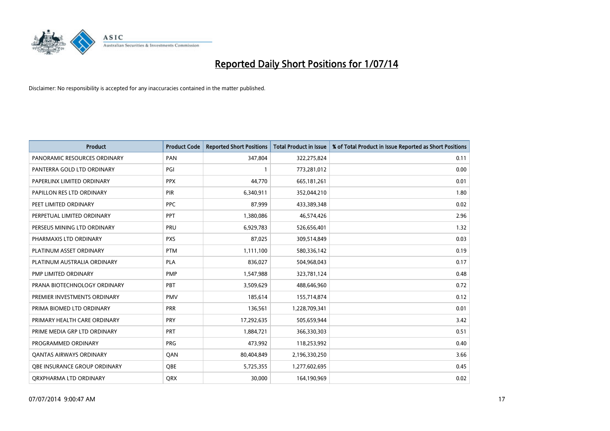

| <b>Product</b>                 | <b>Product Code</b> | <b>Reported Short Positions</b> | <b>Total Product in Issue</b> | % of Total Product in Issue Reported as Short Positions |
|--------------------------------|---------------------|---------------------------------|-------------------------------|---------------------------------------------------------|
| PANORAMIC RESOURCES ORDINARY   | PAN                 | 347,804                         | 322,275,824                   | 0.11                                                    |
| PANTERRA GOLD LTD ORDINARY     | PGI                 |                                 | 773,281,012                   | 0.00                                                    |
| PAPERLINX LIMITED ORDINARY     | <b>PPX</b>          | 44,770                          | 665,181,261                   | 0.01                                                    |
| PAPILLON RES LTD ORDINARY      | PIR                 | 6,340,911                       | 352,044,210                   | 1.80                                                    |
| PEET LIMITED ORDINARY          | <b>PPC</b>          | 87,999                          | 433,389,348                   | 0.02                                                    |
| PERPETUAL LIMITED ORDINARY     | <b>PPT</b>          | 1,380,086                       | 46,574,426                    | 2.96                                                    |
| PERSEUS MINING LTD ORDINARY    | <b>PRU</b>          | 6,929,783                       | 526,656,401                   | 1.32                                                    |
| PHARMAXIS LTD ORDINARY         | <b>PXS</b>          | 87,025                          | 309,514,849                   | 0.03                                                    |
| PLATINUM ASSET ORDINARY        | <b>PTM</b>          | 1,111,100                       | 580,336,142                   | 0.19                                                    |
| PLATINUM AUSTRALIA ORDINARY    | <b>PLA</b>          | 836,027                         | 504,968,043                   | 0.17                                                    |
| PMP LIMITED ORDINARY           | <b>PMP</b>          | 1,547,988                       | 323,781,124                   | 0.48                                                    |
| PRANA BIOTECHNOLOGY ORDINARY   | PBT                 | 3,509,629                       | 488,646,960                   | 0.72                                                    |
| PREMIER INVESTMENTS ORDINARY   | <b>PMV</b>          | 185,614                         | 155,714,874                   | 0.12                                                    |
| PRIMA BIOMED LTD ORDINARY      | <b>PRR</b>          | 136,561                         | 1,228,709,341                 | 0.01                                                    |
| PRIMARY HEALTH CARE ORDINARY   | <b>PRY</b>          | 17,292,635                      | 505,659,944                   | 3.42                                                    |
| PRIME MEDIA GRP LTD ORDINARY   | PRT                 | 1,884,721                       | 366,330,303                   | 0.51                                                    |
| PROGRAMMED ORDINARY            | <b>PRG</b>          | 473,992                         | 118,253,992                   | 0.40                                                    |
| <b>QANTAS AIRWAYS ORDINARY</b> | QAN                 | 80,404,849                      | 2,196,330,250                 | 3.66                                                    |
| OBE INSURANCE GROUP ORDINARY   | <b>OBE</b>          | 5,725,355                       | 1,277,602,695                 | 0.45                                                    |
| ORXPHARMA LTD ORDINARY         | <b>QRX</b>          | 30,000                          | 164,190,969                   | 0.02                                                    |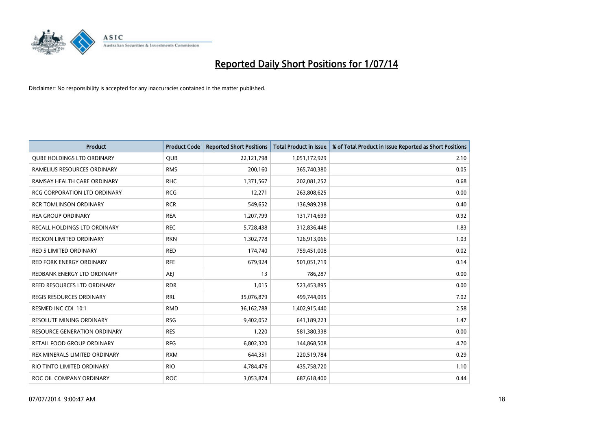

| <b>Product</b>                      | <b>Product Code</b> | <b>Reported Short Positions</b> | <b>Total Product in Issue</b> | % of Total Product in Issue Reported as Short Positions |
|-------------------------------------|---------------------|---------------------------------|-------------------------------|---------------------------------------------------------|
| <b>QUBE HOLDINGS LTD ORDINARY</b>   | <b>QUB</b>          | 22,121,798                      | 1,051,172,929                 | 2.10                                                    |
| RAMELIUS RESOURCES ORDINARY         | <b>RMS</b>          | 200,160                         | 365,740,380                   | 0.05                                                    |
| RAMSAY HEALTH CARE ORDINARY         | <b>RHC</b>          | 1,371,567                       | 202,081,252                   | 0.68                                                    |
| <b>RCG CORPORATION LTD ORDINARY</b> | <b>RCG</b>          | 12,271                          | 263,808,625                   | 0.00                                                    |
| <b>RCR TOMLINSON ORDINARY</b>       | <b>RCR</b>          | 549,652                         | 136,989,238                   | 0.40                                                    |
| <b>REA GROUP ORDINARY</b>           | <b>REA</b>          | 1,207,799                       | 131,714,699                   | 0.92                                                    |
| RECALL HOLDINGS LTD ORDINARY        | <b>REC</b>          | 5,728,438                       | 312,836,448                   | 1.83                                                    |
| <b>RECKON LIMITED ORDINARY</b>      | <b>RKN</b>          | 1,302,778                       | 126,913,066                   | 1.03                                                    |
| <b>RED 5 LIMITED ORDINARY</b>       | <b>RED</b>          | 174,740                         | 759,451,008                   | 0.02                                                    |
| <b>RED FORK ENERGY ORDINARY</b>     | <b>RFE</b>          | 679,924                         | 501,051,719                   | 0.14                                                    |
| REDBANK ENERGY LTD ORDINARY         | AEJ                 | 13                              | 786,287                       | 0.00                                                    |
| REED RESOURCES LTD ORDINARY         | <b>RDR</b>          | 1,015                           | 523,453,895                   | 0.00                                                    |
| <b>REGIS RESOURCES ORDINARY</b>     | <b>RRL</b>          | 35,076,879                      | 499,744,095                   | 7.02                                                    |
| RESMED INC CDI 10:1                 | <b>RMD</b>          | 36, 162, 788                    | 1,402,915,440                 | 2.58                                                    |
| <b>RESOLUTE MINING ORDINARY</b>     | <b>RSG</b>          | 9,402,052                       | 641,189,223                   | 1.47                                                    |
| <b>RESOURCE GENERATION ORDINARY</b> | <b>RES</b>          | 1,220                           | 581,380,338                   | 0.00                                                    |
| RETAIL FOOD GROUP ORDINARY          | <b>RFG</b>          | 6,802,320                       | 144,868,508                   | 4.70                                                    |
| REX MINERALS LIMITED ORDINARY       | <b>RXM</b>          | 644,351                         | 220,519,784                   | 0.29                                                    |
| RIO TINTO LIMITED ORDINARY          | <b>RIO</b>          | 4,784,476                       | 435,758,720                   | 1.10                                                    |
| ROC OIL COMPANY ORDINARY            | <b>ROC</b>          | 3,053,874                       | 687,618,400                   | 0.44                                                    |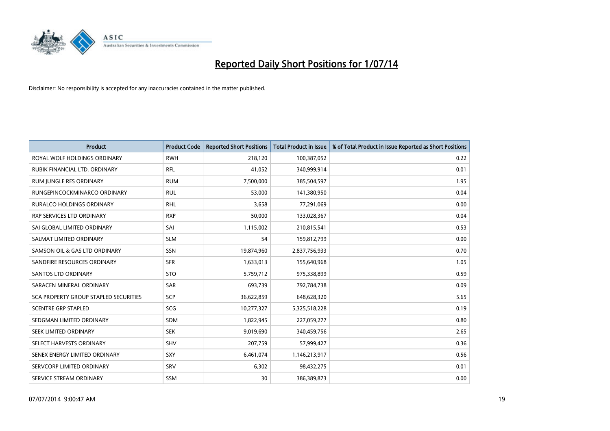

| <b>Product</b>                        | <b>Product Code</b> | <b>Reported Short Positions</b> | <b>Total Product in Issue</b> | % of Total Product in Issue Reported as Short Positions |
|---------------------------------------|---------------------|---------------------------------|-------------------------------|---------------------------------------------------------|
| ROYAL WOLF HOLDINGS ORDINARY          | <b>RWH</b>          | 218,120                         | 100,387,052                   | 0.22                                                    |
| RUBIK FINANCIAL LTD. ORDINARY         | <b>RFL</b>          | 41,052                          | 340,999,914                   | 0.01                                                    |
| RUM JUNGLE RES ORDINARY               | <b>RUM</b>          | 7,500,000                       | 385,504,597                   | 1.95                                                    |
| RUNGEPINCOCKMINARCO ORDINARY          | <b>RUL</b>          | 53,000                          | 141,380,950                   | 0.04                                                    |
| <b>RURALCO HOLDINGS ORDINARY</b>      | <b>RHL</b>          | 3,658                           | 77,291,069                    | 0.00                                                    |
| <b>RXP SERVICES LTD ORDINARY</b>      | <b>RXP</b>          | 50,000                          | 133,028,367                   | 0.04                                                    |
| SAI GLOBAL LIMITED ORDINARY           | SAI                 | 1,115,002                       | 210,815,541                   | 0.53                                                    |
| SALMAT LIMITED ORDINARY               | <b>SLM</b>          | 54                              | 159,812,799                   | 0.00                                                    |
| SAMSON OIL & GAS LTD ORDINARY         | SSN                 | 19,874,960                      | 2,837,756,933                 | 0.70                                                    |
| SANDFIRE RESOURCES ORDINARY           | <b>SFR</b>          | 1,633,013                       | 155,640,968                   | 1.05                                                    |
| SANTOS LTD ORDINARY                   | <b>STO</b>          | 5,759,712                       | 975,338,899                   | 0.59                                                    |
| SARACEN MINERAL ORDINARY              | SAR                 | 693,739                         | 792,784,738                   | 0.09                                                    |
| SCA PROPERTY GROUP STAPLED SECURITIES | <b>SCP</b>          | 36,622,859                      | 648,628,320                   | 5.65                                                    |
| <b>SCENTRE GRP STAPLED</b>            | SCG                 | 10,277,327                      | 5,325,518,228                 | 0.19                                                    |
| SEDGMAN LIMITED ORDINARY              | SDM                 | 1,822,945                       | 227,059,277                   | 0.80                                                    |
| SEEK LIMITED ORDINARY                 | <b>SEK</b>          | 9,019,690                       | 340,459,756                   | 2.65                                                    |
| SELECT HARVESTS ORDINARY              | SHV                 | 207,759                         | 57,999,427                    | 0.36                                                    |
| SENEX ENERGY LIMITED ORDINARY         | <b>SXY</b>          | 6,461,074                       | 1,146,213,917                 | 0.56                                                    |
| SERVCORP LIMITED ORDINARY             | SRV                 | 6,302                           | 98,432,275                    | 0.01                                                    |
| SERVICE STREAM ORDINARY               | <b>SSM</b>          | 30                              | 386,389,873                   | 0.00                                                    |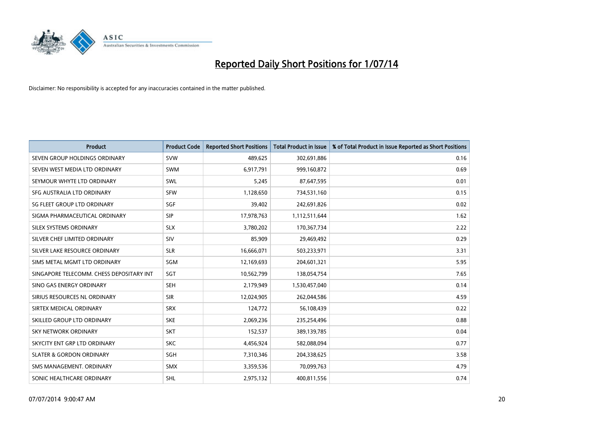

| <b>Product</b>                           | <b>Product Code</b> | <b>Reported Short Positions</b> | <b>Total Product in Issue</b> | % of Total Product in Issue Reported as Short Positions |
|------------------------------------------|---------------------|---------------------------------|-------------------------------|---------------------------------------------------------|
| SEVEN GROUP HOLDINGS ORDINARY            | <b>SVW</b>          | 489,625                         | 302,691,886                   | 0.16                                                    |
| SEVEN WEST MEDIA LTD ORDINARY            | <b>SWM</b>          | 6,917,791                       | 999,160,872                   | 0.69                                                    |
| SEYMOUR WHYTE LTD ORDINARY               | SWL                 | 5,245                           | 87,647,595                    | 0.01                                                    |
| SFG AUSTRALIA LTD ORDINARY               | <b>SFW</b>          | 1,128,650                       | 734,531,160                   | 0.15                                                    |
| SG FLEET GROUP LTD ORDINARY              | SGF                 | 39,402                          | 242,691,826                   | 0.02                                                    |
| SIGMA PHARMACEUTICAL ORDINARY            | <b>SIP</b>          | 17,978,763                      | 1,112,511,644                 | 1.62                                                    |
| SILEX SYSTEMS ORDINARY                   | <b>SLX</b>          | 3,780,202                       | 170,367,734                   | 2.22                                                    |
| SILVER CHEF LIMITED ORDINARY             | <b>SIV</b>          | 85,909                          | 29,469,492                    | 0.29                                                    |
| SILVER LAKE RESOURCE ORDINARY            | <b>SLR</b>          | 16,666,071                      | 503,233,971                   | 3.31                                                    |
| SIMS METAL MGMT LTD ORDINARY             | SGM                 | 12,169,693                      | 204,601,321                   | 5.95                                                    |
| SINGAPORE TELECOMM. CHESS DEPOSITARY INT | SGT                 | 10,562,799                      | 138,054,754                   | 7.65                                                    |
| SINO GAS ENERGY ORDINARY                 | <b>SEH</b>          | 2,179,949                       | 1,530,457,040                 | 0.14                                                    |
| SIRIUS RESOURCES NL ORDINARY             | <b>SIR</b>          | 12,024,905                      | 262,044,586                   | 4.59                                                    |
| SIRTEX MEDICAL ORDINARY                  | <b>SRX</b>          | 124,772                         | 56,108,439                    | 0.22                                                    |
| SKILLED GROUP LTD ORDINARY               | <b>SKE</b>          | 2,069,236                       | 235,254,496                   | 0.88                                                    |
| SKY NETWORK ORDINARY                     | <b>SKT</b>          | 152,537                         | 389,139,785                   | 0.04                                                    |
| SKYCITY ENT GRP LTD ORDINARY             | <b>SKC</b>          | 4,456,924                       | 582,088,094                   | 0.77                                                    |
| <b>SLATER &amp; GORDON ORDINARY</b>      | SGH                 | 7,310,346                       | 204,338,625                   | 3.58                                                    |
| SMS MANAGEMENT, ORDINARY                 | <b>SMX</b>          | 3,359,536                       | 70,099,763                    | 4.79                                                    |
| SONIC HEALTHCARE ORDINARY                | <b>SHL</b>          | 2,975,132                       | 400,811,556                   | 0.74                                                    |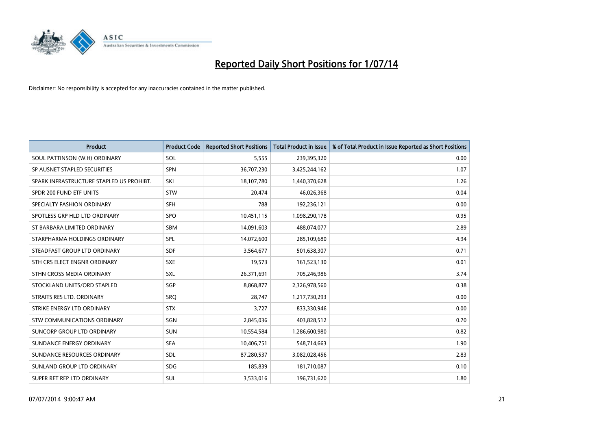

| <b>Product</b>                           | <b>Product Code</b> | <b>Reported Short Positions</b> | <b>Total Product in Issue</b> | % of Total Product in Issue Reported as Short Positions |
|------------------------------------------|---------------------|---------------------------------|-------------------------------|---------------------------------------------------------|
| SOUL PATTINSON (W.H) ORDINARY            | SOL                 | 5,555                           | 239,395,320                   | 0.00                                                    |
| SP AUSNET STAPLED SECURITIES             | <b>SPN</b>          | 36,707,230                      | 3,425,244,162                 | 1.07                                                    |
| SPARK INFRASTRUCTURE STAPLED US PROHIBT. | SKI                 | 18,107,780                      | 1,440,370,628                 | 1.26                                                    |
| SPDR 200 FUND ETF UNITS                  | <b>STW</b>          | 20,474                          | 46,026,368                    | 0.04                                                    |
| SPECIALTY FASHION ORDINARY               | <b>SFH</b>          | 788                             | 192,236,121                   | 0.00                                                    |
| SPOTLESS GRP HLD LTD ORDINARY            | <b>SPO</b>          | 10,451,115                      | 1,098,290,178                 | 0.95                                                    |
| ST BARBARA LIMITED ORDINARY              | <b>SBM</b>          | 14,091,603                      | 488,074,077                   | 2.89                                                    |
| STARPHARMA HOLDINGS ORDINARY             | SPL                 | 14,072,600                      | 285,109,680                   | 4.94                                                    |
| STEADFAST GROUP LTD ORDINARY             | <b>SDF</b>          | 3,564,677                       | 501,638,307                   | 0.71                                                    |
| STH CRS ELECT ENGNR ORDINARY             | <b>SXE</b>          | 19,573                          | 161,523,130                   | 0.01                                                    |
| STHN CROSS MEDIA ORDINARY                | SXL                 | 26,371,691                      | 705,246,986                   | 3.74                                                    |
| STOCKLAND UNITS/ORD STAPLED              | SGP                 | 8,868,877                       | 2,326,978,560                 | 0.38                                                    |
| STRAITS RES LTD. ORDINARY                | SRO                 | 28,747                          | 1,217,730,293                 | 0.00                                                    |
| STRIKE ENERGY LTD ORDINARY               | <b>STX</b>          | 3,727                           | 833,330,946                   | 0.00                                                    |
| STW COMMUNICATIONS ORDINARY              | SGN                 | 2,845,036                       | 403,828,512                   | 0.70                                                    |
| SUNCORP GROUP LTD ORDINARY               | <b>SUN</b>          | 10,554,584                      | 1,286,600,980                 | 0.82                                                    |
| SUNDANCE ENERGY ORDINARY                 | <b>SEA</b>          | 10,406,751                      | 548,714,663                   | 1.90                                                    |
| SUNDANCE RESOURCES ORDINARY              | <b>SDL</b>          | 87,280,537                      | 3,082,028,456                 | 2.83                                                    |
| SUNLAND GROUP LTD ORDINARY               | <b>SDG</b>          | 185,839                         | 181,710,087                   | 0.10                                                    |
| SUPER RET REP LTD ORDINARY               | SUL                 | 3,533,016                       | 196,731,620                   | 1.80                                                    |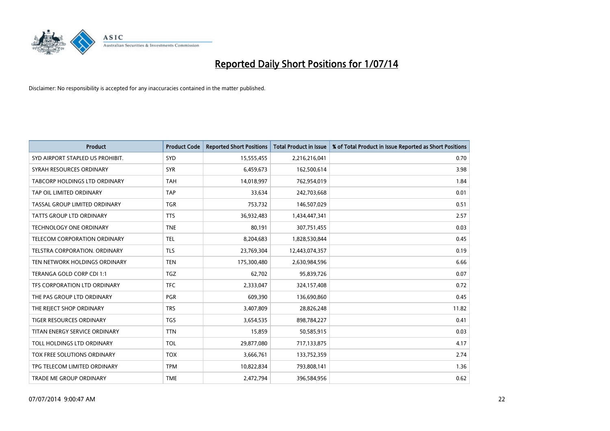

| <b>Product</b>                   | <b>Product Code</b> | <b>Reported Short Positions</b> | <b>Total Product in Issue</b> | % of Total Product in Issue Reported as Short Positions |
|----------------------------------|---------------------|---------------------------------|-------------------------------|---------------------------------------------------------|
| SYD AIRPORT STAPLED US PROHIBIT. | <b>SYD</b>          | 15,555,455                      | 2,216,216,041                 | 0.70                                                    |
| SYRAH RESOURCES ORDINARY         | <b>SYR</b>          | 6,459,673                       | 162,500,614                   | 3.98                                                    |
| TABCORP HOLDINGS LTD ORDINARY    | <b>TAH</b>          | 14,018,997                      | 762,954,019                   | 1.84                                                    |
| TAP OIL LIMITED ORDINARY         | <b>TAP</b>          | 33,634                          | 242,703,668                   | 0.01                                                    |
| TASSAL GROUP LIMITED ORDINARY    | <b>TGR</b>          | 753,732                         | 146,507,029                   | 0.51                                                    |
| <b>TATTS GROUP LTD ORDINARY</b>  | <b>TTS</b>          | 36,932,483                      | 1,434,447,341                 | 2.57                                                    |
| TECHNOLOGY ONE ORDINARY          | <b>TNE</b>          | 80,191                          | 307,751,455                   | 0.03                                                    |
| TELECOM CORPORATION ORDINARY     | <b>TEL</b>          | 8,204,683                       | 1,828,530,844                 | 0.45                                                    |
| TELSTRA CORPORATION, ORDINARY    | <b>TLS</b>          | 23,769,304                      | 12,443,074,357                | 0.19                                                    |
| TEN NETWORK HOLDINGS ORDINARY    | <b>TEN</b>          | 175,300,480                     | 2,630,984,596                 | 6.66                                                    |
| TERANGA GOLD CORP CDI 1:1        | <b>TGZ</b>          | 62,702                          | 95,839,726                    | 0.07                                                    |
| TFS CORPORATION LTD ORDINARY     | <b>TFC</b>          | 2,333,047                       | 324,157,408                   | 0.72                                                    |
| THE PAS GROUP LTD ORDINARY       | <b>PGR</b>          | 609,390                         | 136,690,860                   | 0.45                                                    |
| THE REJECT SHOP ORDINARY         | <b>TRS</b>          | 3,407,809                       | 28,826,248                    | 11.82                                                   |
| <b>TIGER RESOURCES ORDINARY</b>  | <b>TGS</b>          | 3,654,535                       | 898,784,227                   | 0.41                                                    |
| TITAN ENERGY SERVICE ORDINARY    | <b>TTN</b>          | 15,859                          | 50,585,915                    | 0.03                                                    |
| TOLL HOLDINGS LTD ORDINARY       | <b>TOL</b>          | 29,877,080                      | 717,133,875                   | 4.17                                                    |
| TOX FREE SOLUTIONS ORDINARY      | <b>TOX</b>          | 3,666,761                       | 133,752,359                   | 2.74                                                    |
| TPG TELECOM LIMITED ORDINARY     | <b>TPM</b>          | 10,822,834                      | 793,808,141                   | 1.36                                                    |
| TRADE ME GROUP ORDINARY          | <b>TME</b>          | 2,472,794                       | 396,584,956                   | 0.62                                                    |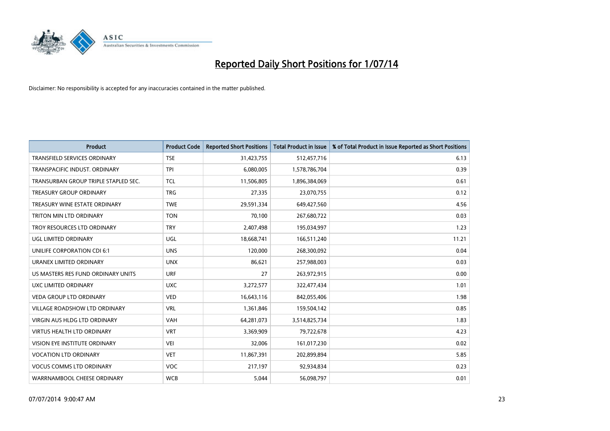

| <b>Product</b>                       | <b>Product Code</b> | <b>Reported Short Positions</b> | <b>Total Product in Issue</b> | % of Total Product in Issue Reported as Short Positions |
|--------------------------------------|---------------------|---------------------------------|-------------------------------|---------------------------------------------------------|
| <b>TRANSFIELD SERVICES ORDINARY</b>  | <b>TSE</b>          | 31,423,755                      | 512,457,716                   | 6.13                                                    |
| TRANSPACIFIC INDUST. ORDINARY        | <b>TPI</b>          | 6,080,005                       | 1,578,786,704                 | 0.39                                                    |
| TRANSURBAN GROUP TRIPLE STAPLED SEC. | TCL                 | 11,506,805                      | 1,896,384,069                 | 0.61                                                    |
| <b>TREASURY GROUP ORDINARY</b>       | <b>TRG</b>          | 27,335                          | 23,070,755                    | 0.12                                                    |
| TREASURY WINE ESTATE ORDINARY        | <b>TWE</b>          | 29,591,334                      | 649,427,560                   | 4.56                                                    |
| TRITON MIN LTD ORDINARY              | <b>TON</b>          | 70,100                          | 267,680,722                   | 0.03                                                    |
| TROY RESOURCES LTD ORDINARY          | <b>TRY</b>          | 2,407,498                       | 195,034,997                   | 1.23                                                    |
| UGL LIMITED ORDINARY                 | UGL                 | 18,668,741                      | 166,511,240                   | 11.21                                                   |
| UNILIFE CORPORATION CDI 6:1          | <b>UNS</b>          | 120,000                         | 268,300,092                   | 0.04                                                    |
| URANEX LIMITED ORDINARY              | <b>UNX</b>          | 86,621                          | 257,988,003                   | 0.03                                                    |
| US MASTERS RES FUND ORDINARY UNITS   | <b>URF</b>          | 27                              | 263,972,915                   | 0.00                                                    |
| UXC LIMITED ORDINARY                 | <b>UXC</b>          | 3,272,577                       | 322,477,434                   | 1.01                                                    |
| <b>VEDA GROUP LTD ORDINARY</b>       | <b>VED</b>          | 16,643,116                      | 842,055,406                   | 1.98                                                    |
| <b>VILLAGE ROADSHOW LTD ORDINARY</b> | <b>VRL</b>          | 1,361,846                       | 159,504,142                   | 0.85                                                    |
| VIRGIN AUS HLDG LTD ORDINARY         | <b>VAH</b>          | 64,281,073                      | 3,514,825,734                 | 1.83                                                    |
| <b>VIRTUS HEALTH LTD ORDINARY</b>    | <b>VRT</b>          | 3,369,909                       | 79,722,678                    | 4.23                                                    |
| VISION EYE INSTITUTE ORDINARY        | <b>VEI</b>          | 32,006                          | 161,017,230                   | 0.02                                                    |
| <b>VOCATION LTD ORDINARY</b>         | <b>VET</b>          | 11,867,391                      | 202,899,894                   | 5.85                                                    |
| <b>VOCUS COMMS LTD ORDINARY</b>      | <b>VOC</b>          | 217,197                         | 92,934,834                    | 0.23                                                    |
| WARRNAMBOOL CHEESE ORDINARY          | <b>WCB</b>          | 5,044                           | 56,098,797                    | 0.01                                                    |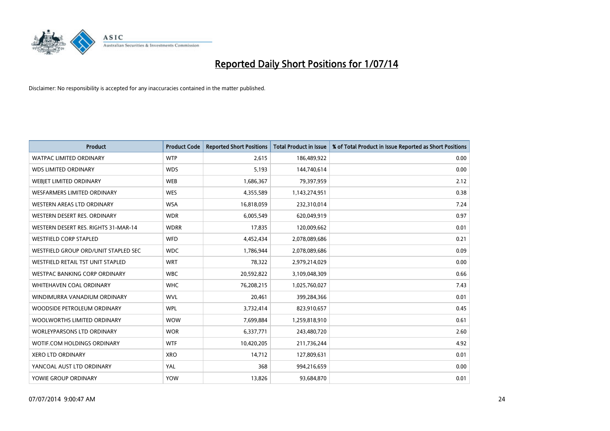

| <b>Product</b>                       | <b>Product Code</b> | <b>Reported Short Positions</b> | <b>Total Product in Issue</b> | % of Total Product in Issue Reported as Short Positions |
|--------------------------------------|---------------------|---------------------------------|-------------------------------|---------------------------------------------------------|
| <b>WATPAC LIMITED ORDINARY</b>       | <b>WTP</b>          | 2,615                           | 186,489,922                   | 0.00                                                    |
| <b>WDS LIMITED ORDINARY</b>          | <b>WDS</b>          | 5,193                           | 144,740,614                   | 0.00                                                    |
| WEBJET LIMITED ORDINARY              | <b>WEB</b>          | 1,686,367                       | 79,397,959                    | 2.12                                                    |
| <b>WESFARMERS LIMITED ORDINARY</b>   | <b>WES</b>          | 4,355,589                       | 1,143,274,951                 | 0.38                                                    |
| WESTERN AREAS LTD ORDINARY           | <b>WSA</b>          | 16,818,059                      | 232,310,014                   | 7.24                                                    |
| WESTERN DESERT RES. ORDINARY         | <b>WDR</b>          | 6,005,549                       | 620,049,919                   | 0.97                                                    |
| WESTERN DESERT RES. RIGHTS 31-MAR-14 | <b>WDRR</b>         | 17,835                          | 120,009,662                   | 0.01                                                    |
| <b>WESTFIELD CORP STAPLED</b>        | <b>WFD</b>          | 4,452,434                       | 2,078,089,686                 | 0.21                                                    |
| WESTFIELD GROUP ORD/UNIT STAPLED SEC | <b>WDC</b>          | 1,786,944                       | 2,078,089,686                 | 0.09                                                    |
| WESTFIELD RETAIL TST UNIT STAPLED    | <b>WRT</b>          | 78,322                          | 2,979,214,029                 | 0.00                                                    |
| WESTPAC BANKING CORP ORDINARY        | <b>WBC</b>          | 20,592,822                      | 3,109,048,309                 | 0.66                                                    |
| WHITEHAVEN COAL ORDINARY             | <b>WHC</b>          | 76,208,215                      | 1,025,760,027                 | 7.43                                                    |
| WINDIMURRA VANADIUM ORDINARY         | <b>WVL</b>          | 20,461                          | 399,284,366                   | 0.01                                                    |
| WOODSIDE PETROLEUM ORDINARY          | <b>WPL</b>          | 3,732,414                       | 823,910,657                   | 0.45                                                    |
| WOOLWORTHS LIMITED ORDINARY          | <b>WOW</b>          | 7,699,884                       | 1,259,818,910                 | 0.61                                                    |
| <b>WORLEYPARSONS LTD ORDINARY</b>    | <b>WOR</b>          | 6,337,771                       | 243,480,720                   | 2.60                                                    |
| WOTIF.COM HOLDINGS ORDINARY          | <b>WTF</b>          | 10,420,205                      | 211,736,244                   | 4.92                                                    |
| <b>XERO LTD ORDINARY</b>             | <b>XRO</b>          | 14,712                          | 127,809,631                   | 0.01                                                    |
| YANCOAL AUST LTD ORDINARY            | YAL                 | 368                             | 994,216,659                   | 0.00                                                    |
| YOWIE GROUP ORDINARY                 | <b>YOW</b>          | 13,826                          | 93,684,870                    | 0.01                                                    |